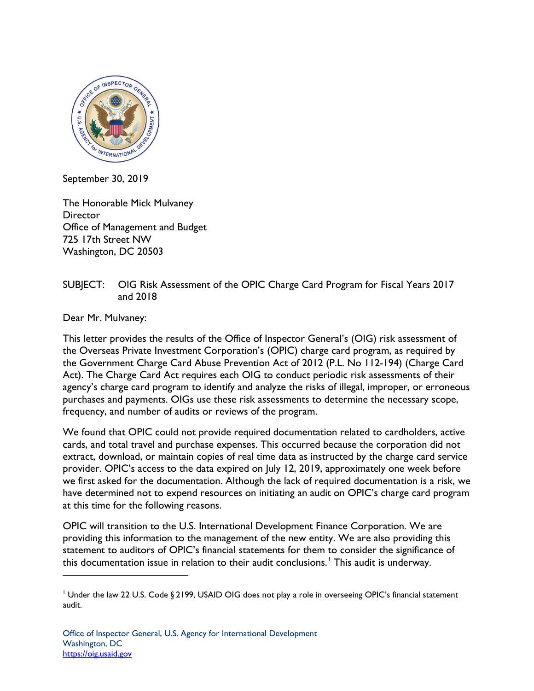

September 30, 2019

The Honorable Mick Mulvaney **Director** Office of Management and Budget 725 17th Street NW Washington, DC 20503

## SUBJECT: OIG Risk Assessment of the OPIC Charge Card Program for Fiscal Years 2017 and 2018

Dear Mr. Mulvaney:

 $\overline{a}$ 

This letter provides the results of the Office of Inspector General's (OIG) risk assessment of the Overseas Private Investment Corporation's (OPIC) charge card program, as required by the Government Charge Card Abuse Prevention Act of 2012 (P.L. No 112-194) (Charge Card Act). The Charge Card Act requires each OIG to conduct periodic risk assessments of their agency's charge card program to identify and analyze the risks of illegal, improper, or erroneous purchases and payments. OIGs use these risk assessments to determine the necessary scope, frequency, and number of audits or reviews of the program.

We found that OPIC could not provide required documentation related to cardholders, active cards, and total travel and purchase expenses. This occurred because the corporation did not extract, download, or maintain copies of real time data as instructed by the charge card service provider. OPIC's access to the data expired on July 12, 2019, approximately one week before we first asked for the documentation. Although the lack of required documentation is a risk, we have determined not to expend resources on initiating an audit on OPIC's charge card program at this time for the following reasons.

OPIC will transition to the U.S. International Development Finance Corporation. We are providing this information to the management of the new entity. We are also providing this statement to auditors of OPIC's financial statements for them to consider the significance of this documentation issue in relation to their audit conclusions.<sup>[1](#page-0-0)</sup> This audit is underway.

<span id="page-0-0"></span><sup>&</sup>lt;sup>1</sup> Under the law 22 U.S. Code § 2199, USAID OIG does not play a role in overseeing OPIC's financial statement audit.